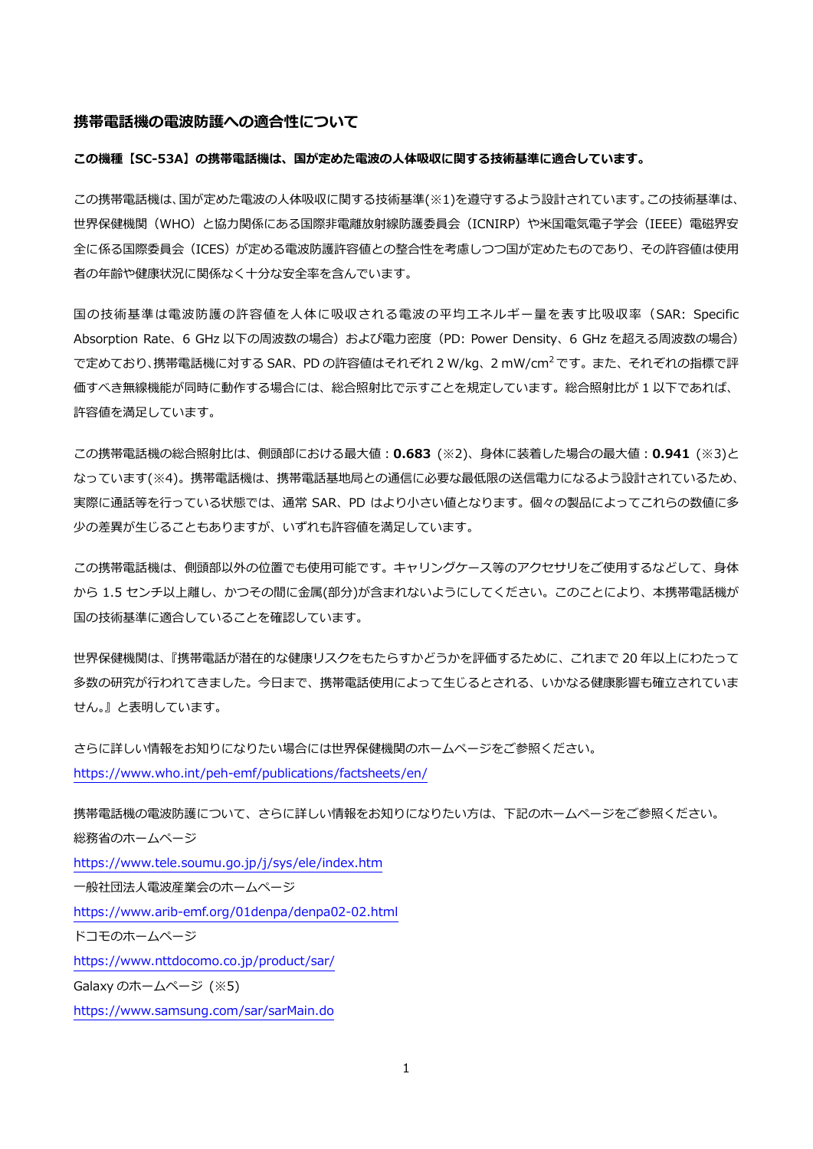#### **携帯電話機の電波防護への適合性について**

#### **この機種【SC-53A】の携帯電話機は、国が定めた電波の⼈体吸収に関する技術基準に適合しています。**

この携帯電話機は、国が定めた電波の人体吸収に関する技術基準(※1)を遵守するよう設計されています。この技術基準は、 世界保健機関(WHO)と協⼒関係にある国際⾮電離放射線防護委員会(ICNIRP)や⽶国電気電⼦学会(IEEE)電磁界安 全に係る国際委員会(ICES)が定める電波防護許容値との整合性を考慮しつつ国が定めたものであり、その許容値は使用 者の年齢や健康状況に関係なく⼗分な安全率を含んでいます。

国の技術基準は電波防護の許容値を⼈体に吸収される電波の平均エネルギー量を表す⽐吸収率(SAR: Specific Absorption Rate、6 GHz 以下の周波数の場合)および電力密度 (PD: Power Density、6 GHz を超える周波数の場合) で定めており、携帯電話機に対する SAR、PD の許容値はそれぞれ 2 W/kg、2 mW/cm<sup>2</sup> です。 また、 それぞれの指標で評 価すべき無線機能が同時に動作する場合には、総合照射比で示すことを規定しています。総合照射比が 1 以下であれば、 許容値を満足しています。

この携帯電話機の総合照射比は、側頭部における最大値: 0.683 (※2)、身体に装着した場合の最大値: 0.941 (※3)と なっています(※4)。携帯電話機は、携帯電話基地局との通信に必要な最低限の送信電力になるよう設計されているため、 実際に通話等を⾏っている状態では、通常 SAR、PD はより⼩さい値となります。個々の製品によってこれらの数値に多 少の差異が⽣じることもありますが、いずれも許容値を満⾜しています。

この携帯電話機は、側頭部以外の位置でも使用可能です。キャリングケース等のアクセサリをご使用するなどして、身体 から 1.5 センチ以上離し、かつその間に⾦属(部分)が含まれないようにしてください。このことにより、本携帯電話機が 国の技術基準に適合していることを確認しています。

世界保健機関は、『携帯電話が潜在的な健康リスクをもたらすかどうかを評価するために、これまで 20 年以上にわたって 多数の研究が行われてきました。今日まで、携帯電話使用によって生じるとされる、いかなる健康影響も確立されていま せん。』と表明しています。

さらに詳しい情報をお知りになりたい場合には世界保健機関のホームページをご参照ください。 https://www.who.int/peh-emf/publications/factsheets/en/

携帯電話機の電波防護について、さらに詳しい情報をお知りになりたい方は、下記のホームページをご参照ください。 総務省のホームページ https://www.tele.soumu.go.jp/j/sys/ele/index.htm ⼀般社団法⼈電波産業会のホームページ https://www.arib-emf.org/01denpa/denpa02-02.html ドコモのホームページ https://www.nttdocomo.co.jp/product/sar/ Galaxy のホームページ (※5) https://www.samsung.com/sar/sarMain.do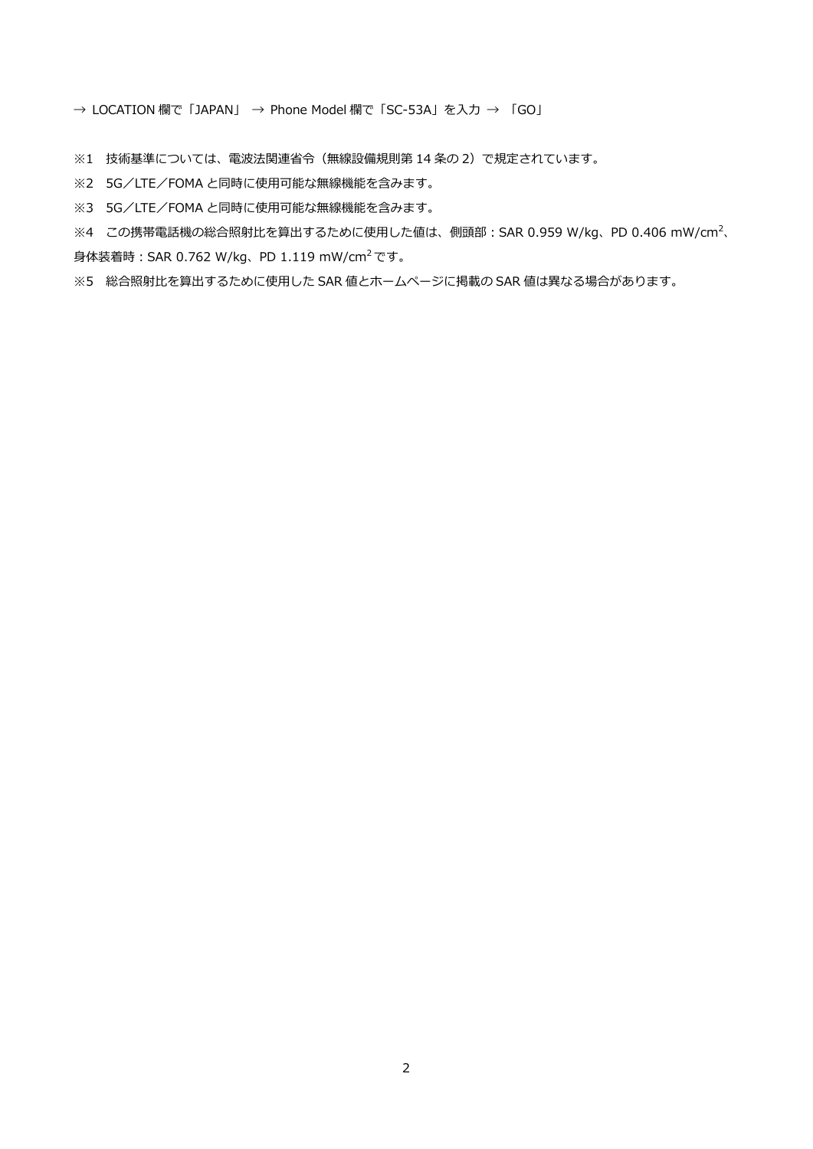→ LOCATION 欄で「JAPAN」 → Phone Model 欄で「SC-53A」を入力 → 「GO」

※1 技術基準については、電波法関連省令(無線設備規則第 14 条の 2)で規定されています。

※2 5G/LTE/FOMA と同時に使用可能な無線機能を含みます。

※3 5G/LTE/FOMA と同時に使用可能な無線機能を含みます。

※4 この携帯電話機の総合照射比を算出するために使用した値は、側頭部:SAR 0.959 W/kg、PD 0.406 mW/cm<sup>2</sup>、 ⾝体装着時︓SAR 0.762 W/kg、PD 1.119 mW/cm2です。

※5 総合照射比を算出するために使用した SAR 値とホームページに掲載の SAR 値は異なる場合があります。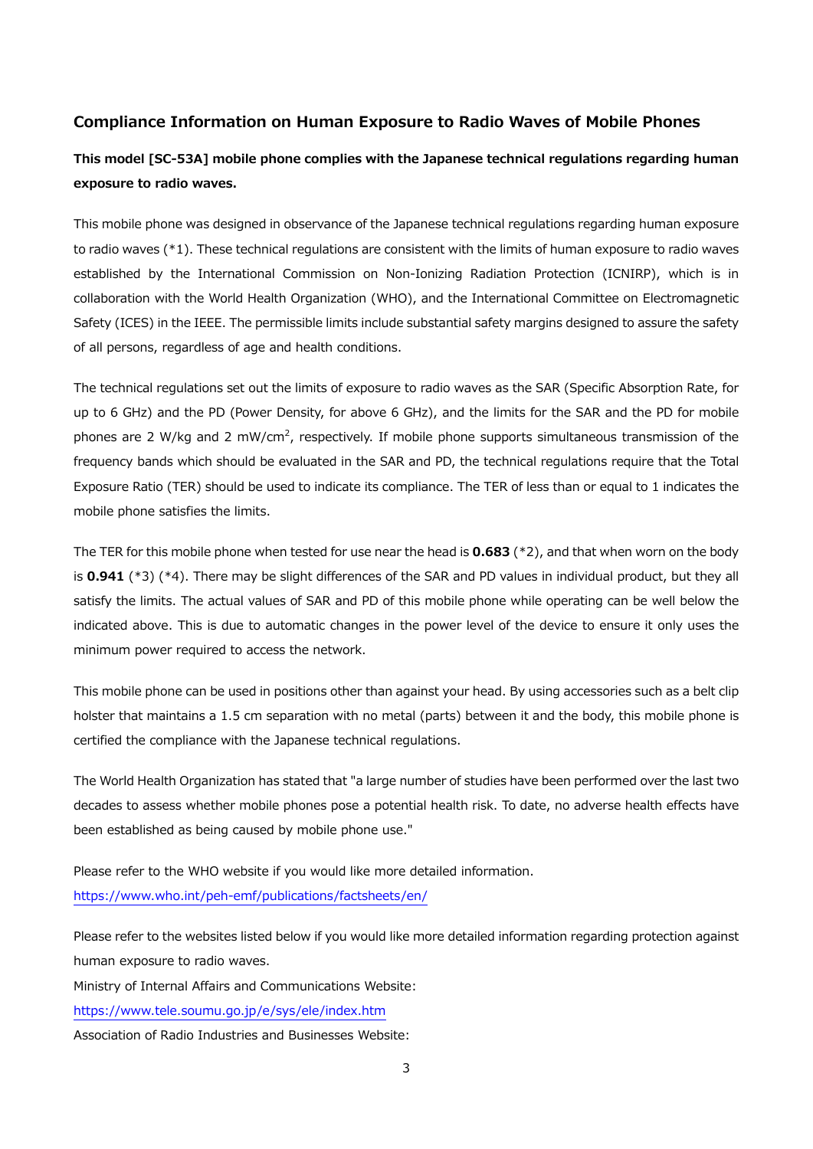# **Compliance Information on Human Exposure to Radio Waves of Mobile Phones**

# **This model [SC-53A] mobile phone complies with the Japanese technical regulations regarding human exposure to radio waves.**

This mobile phone was designed in observance of the Japanese technical regulations regarding human exposure to radio waves (\*1). These technical regulations are consistent with the limits of human exposure to radio waves established by the International Commission on Non-Ionizing Radiation Protection (ICNIRP), which is in collaboration with the World Health Organization (WHO), and the International Committee on Electromagnetic Safety (ICES) in the IEEE. The permissible limits include substantial safety margins designed to assure the safety of all persons, regardless of age and health conditions.

The technical regulations set out the limits of exposure to radio waves as the SAR (Specific Absorption Rate, for up to 6 GHz) and the PD (Power Density, for above 6 GHz), and the limits for the SAR and the PD for mobile phones are 2 W/kg and 2 mW/cm<sup>2</sup>, respectively. If mobile phone supports simultaneous transmission of the frequency bands which should be evaluated in the SAR and PD, the technical regulations require that the Total Exposure Ratio (TER) should be used to indicate its compliance. The TER of less than or equal to 1 indicates the mobile phone satisfies the limits.

The TER for this mobile phone when tested for use near the head is **0.683** (\*2), and that when worn on the body is **0.941** (\*3) (\*4). There may be slight differences of the SAR and PD values in individual product, but they all satisfy the limits. The actual values of SAR and PD of this mobile phone while operating can be well below the indicated above. This is due to automatic changes in the power level of the device to ensure it only uses the minimum power required to access the network.

This mobile phone can be used in positions other than against your head. By using accessories such as a belt clip holster that maintains a 1.5 cm separation with no metal (parts) between it and the body, this mobile phone is certified the compliance with the Japanese technical regulations.

The World Health Organization has stated that "a large number of studies have been performed over the last two decades to assess whether mobile phones pose a potential health risk. To date, no adverse health effects have been established as being caused by mobile phone use."

Please refer to the WHO website if you would like more detailed information. https://www.who.int/peh-emf/publications/factsheets/en/

Please refer to the websites listed below if you would like more detailed information regarding protection against human exposure to radio waves.

Ministry of Internal Affairs and Communications Website:

https://www.tele.soumu.go.jp/e/sys/ele/index.htm

Association of Radio Industries and Businesses Website: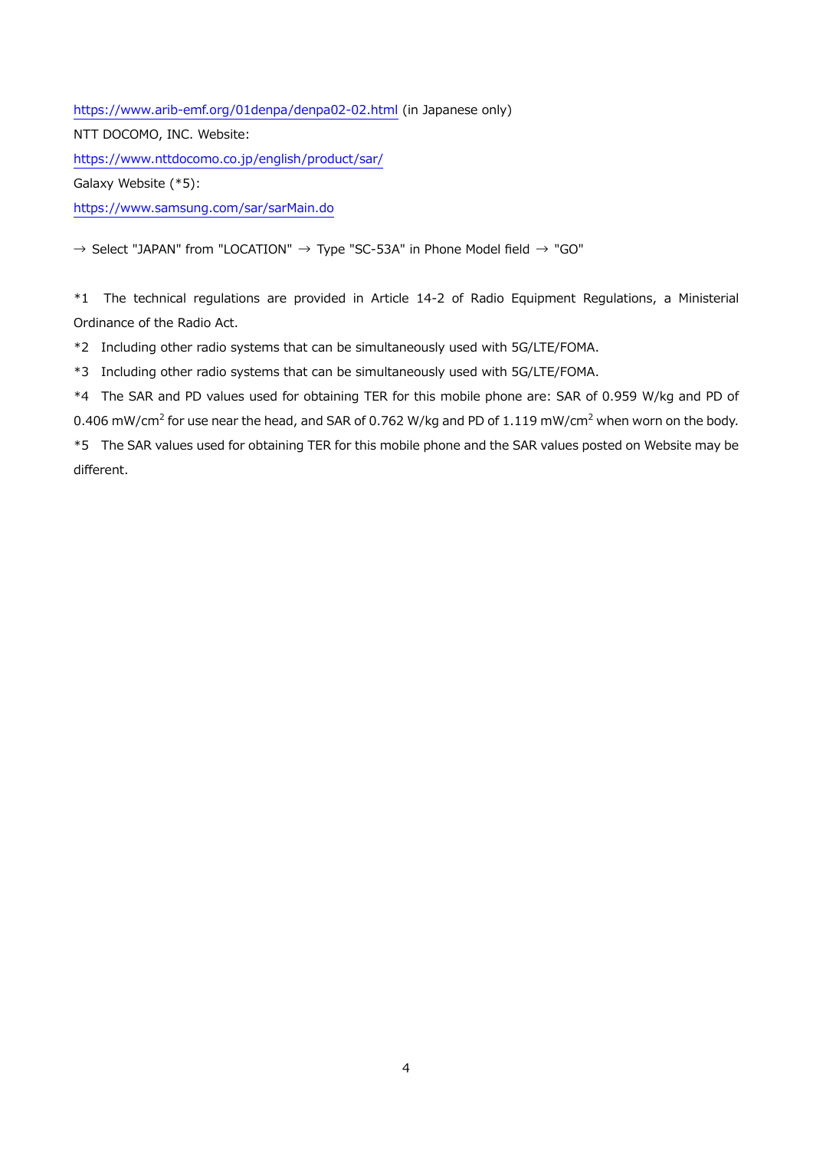https://www.arib-emf.org/01denpa/denpa02-02.html (in Japanese only) NTT DOCOMO, INC. Website: https://www.nttdocomo.co.jp/english/product/sar/ Galaxy Website (\*5): https://www.samsung.com/sar/sarMain.do

 $\rightarrow$  Select "JAPAN" from "LOCATION"  $\rightarrow$  Type "SC-53A" in Phone Model field  $\rightarrow$  "GO"

\*1 The technical regulations are provided in Article 14-2 of Radio Equipment Regulations, a Ministerial Ordinance of the Radio Act.

\*2 Including other radio systems that can be simultaneously used with 5G/LTE/FOMA.

\*3 Including other radio systems that can be simultaneously used with 5G/LTE/FOMA.

\*4 The SAR and PD values used for obtaining TER for this mobile phone are: SAR of 0.959 W/kg and PD of 0.406 mW/cm<sup>2</sup> for use near the head, and SAR of 0.762 W/kg and PD of 1.119 mW/cm<sup>2</sup> when worn on the body.

\*5 The SAR values used for obtaining TER for this mobile phone and the SAR values posted on Website may be different.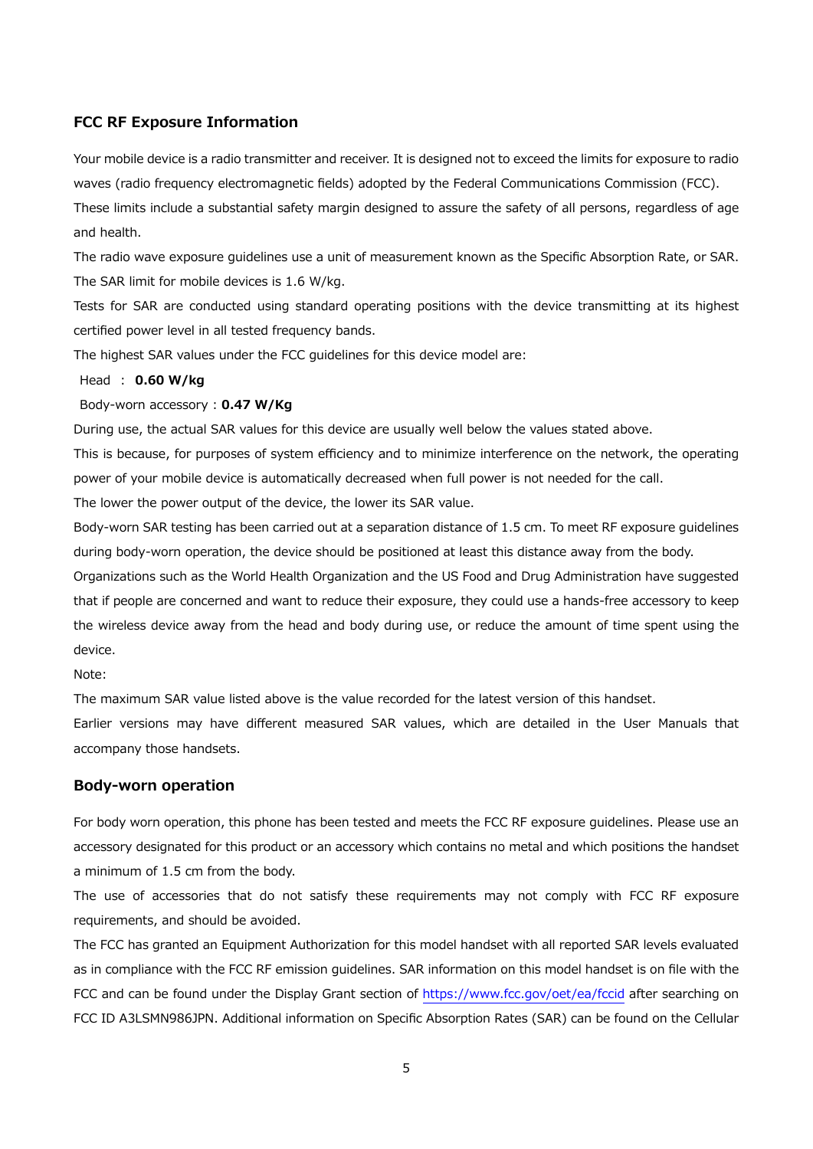# **FCC RF Exposure Information**

Your mobile device is a radio transmitter and receiver. It is designed not to exceed the limits for exposure to radio waves (radio frequency electromagnetic fields) adopted by the Federal Communications Commission (FCC). These limits include a substantial safety margin designed to assure the safety of all persons, regardless of age and health.

The radio wave exposure guidelines use a unit of measurement known as the Specific Absorption Rate, or SAR. The SAR limit for mobile devices is 1.6 W/kg.

Tests for SAR are conducted using standard operating positions with the device transmitting at its highest certified power level in all tested frequency bands.

The highest SAR values under the FCC guidelines for this device model are:

Head ︓ **0.60 W/kg**

Body-worn accessory : **0.47 W/Kg**

During use, the actual SAR values for this device are usually well below the values stated above.

This is because, for purposes of system efficiency and to minimize interference on the network, the operating power of your mobile device is automatically decreased when full power is not needed for the call.

The lower the power output of the device, the lower its SAR value.

Body-worn SAR testing has been carried out at a separation distance of 1.5 cm. To meet RF exposure guidelines during body-worn operation, the device should be positioned at least this distance away from the body.

Organizations such as the World Health Organization and the US Food and Drug Administration have suggested that if people are concerned and want to reduce their exposure, they could use a hands-free accessory to keep the wireless device away from the head and body during use, or reduce the amount of time spent using the device.

Note:

The maximum SAR value listed above is the value recorded for the latest version of this handset.

Earlier versions may have different measured SAR values, which are detailed in the User Manuals that accompany those handsets.

## **Body-worn operation**

For body worn operation, this phone has been tested and meets the FCC RF exposure guidelines. Please use an accessory designated for this product or an accessory which contains no metal and which positions the handset a minimum of 1.5 cm from the body.

The use of accessories that do not satisfy these requirements may not comply with FCC RF exposure requirements, and should be avoided.

The FCC has granted an Equipment Authorization for this model handset with all reported SAR levels evaluated as in compliance with the FCC RF emission guidelines. SAR information on this model handset is on file with the FCC and can be found under the Display Grant section of https://www.fcc.gov/oet/ea/fccid after searching on FCC ID A3LSMN986JPN. Additional information on Specific Absorption Rates (SAR) can be found on the Cellular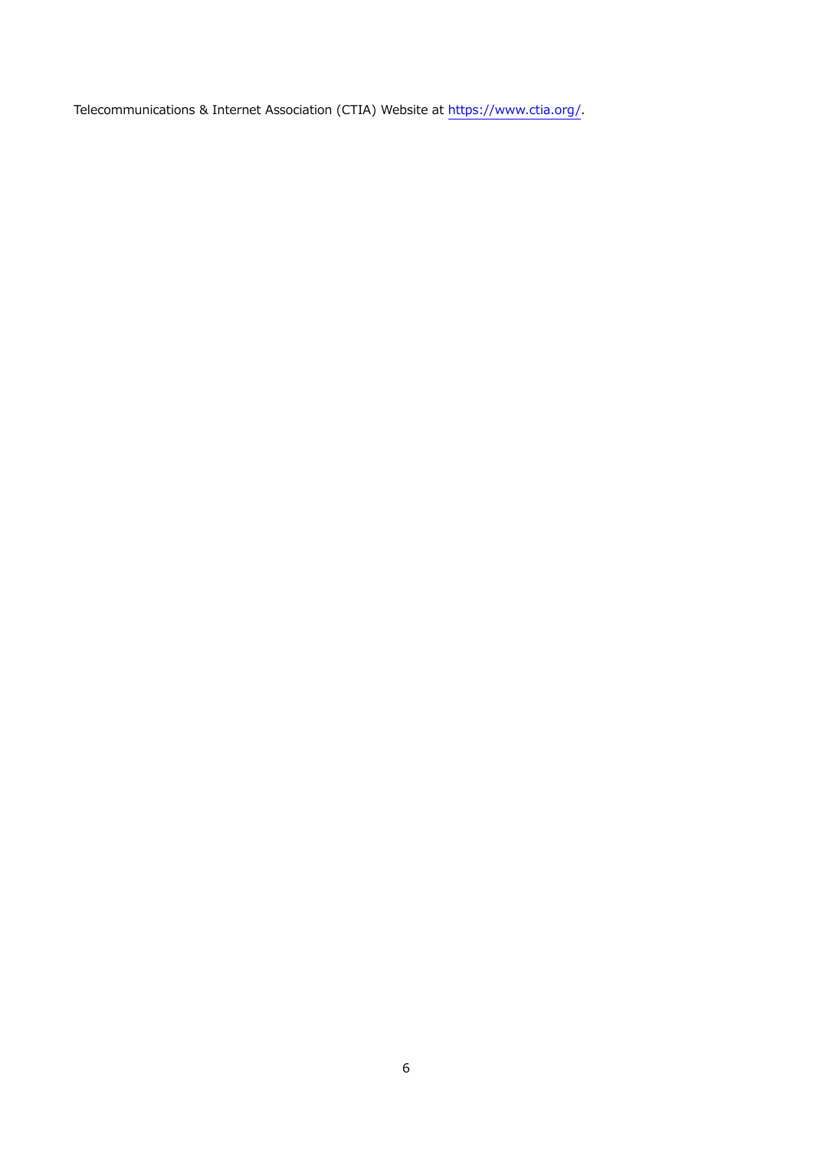Telecommunications & Internet Association (CTIA) Website at https://www.ctia.org/.